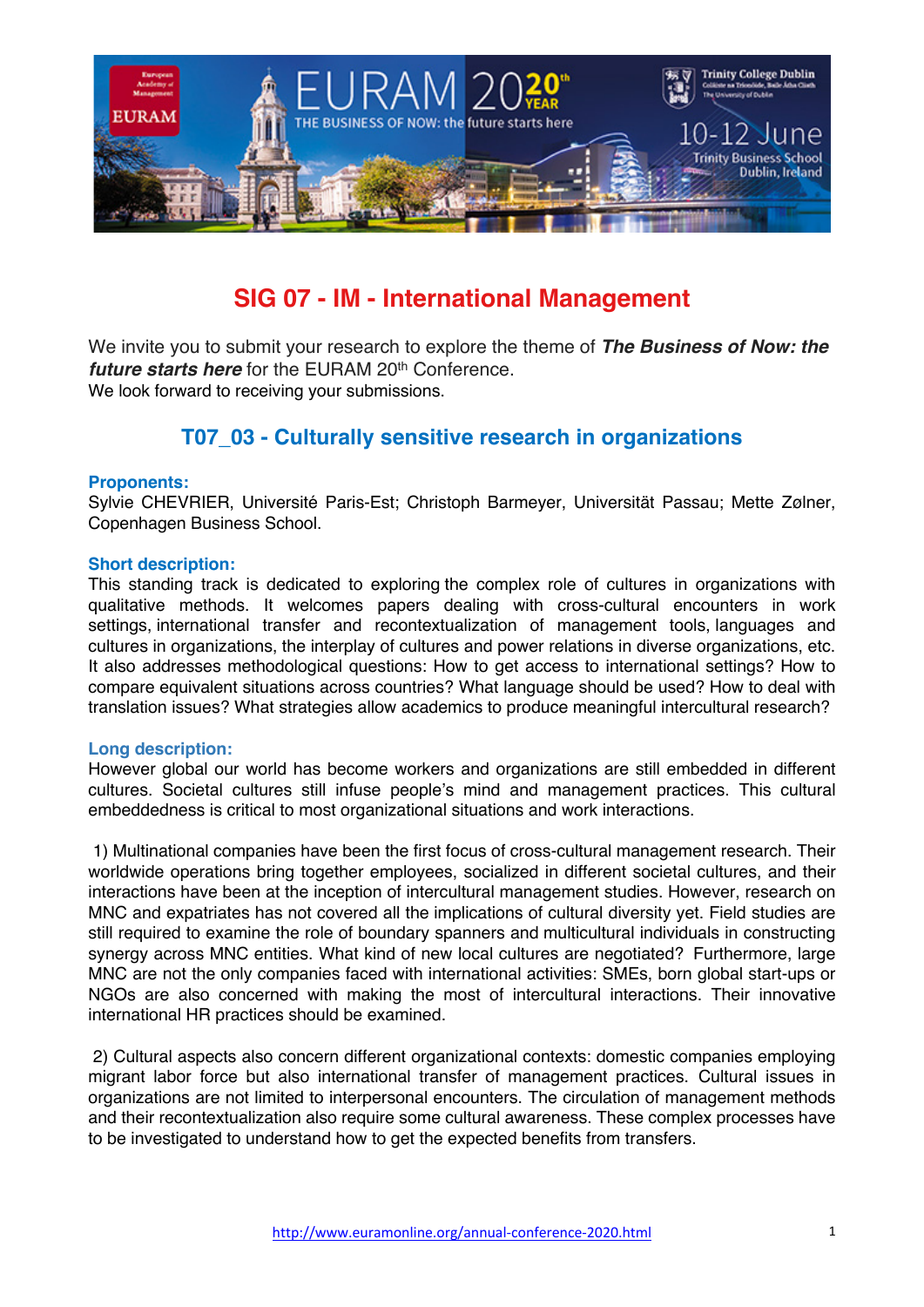

# **SIG 07 - IM - International Management**

We invite you to submit your research to explore the theme of *The Business of Now: the future starts here* for the EURAM 20<sup>th</sup> Conference. We look forward to receiving your submissions.

# **T07\_03 - Culturally sensitive research in organizations**

#### **Proponents:**

Sylvie CHEVRIER, Université Paris-Est; Christoph Barmeyer, Universität Passau; Mette Zølner, Copenhagen Business School.

#### **Short description:**

This standing track is dedicated to exploring the complex role of cultures in organizations with qualitative methods. It welcomes papers dealing with cross-cultural encounters in work settings, international transfer and recontextualization of management tools, languages and cultures in organizations, the interplay of cultures and power relations in diverse organizations, etc. It also addresses methodological questions: How to get access to international settings? How to compare equivalent situations across countries? What language should be used? How to deal with translation issues? What strategies allow academics to produce meaningful intercultural research?

#### **Long description:**

However global our world has become workers and organizations are still embedded in different cultures. Societal cultures still infuse people's mind and management practices. This cultural embeddedness is critical to most organizational situations and work interactions.

1) Multinational companies have been the first focus of cross-cultural management research. Their worldwide operations bring together employees, socialized in different societal cultures, and their interactions have been at the inception of intercultural management studies. However, research on MNC and expatriates has not covered all the implications of cultural diversity yet. Field studies are still required to examine the role of boundary spanners and multicultural individuals in constructing synergy across MNC entities. What kind of new local cultures are negotiated? Furthermore, large MNC are not the only companies faced with international activities: SMEs, born global start-ups or NGOs are also concerned with making the most of intercultural interactions. Their innovative international HR practices should be examined.

2) Cultural aspects also concern different organizational contexts: domestic companies employing migrant labor force but also international transfer of management practices. Cultural issues in organizations are not limited to interpersonal encounters. The circulation of management methods and their recontextualization also require some cultural awareness. These complex processes have to be investigated to understand how to get the expected benefits from transfers.